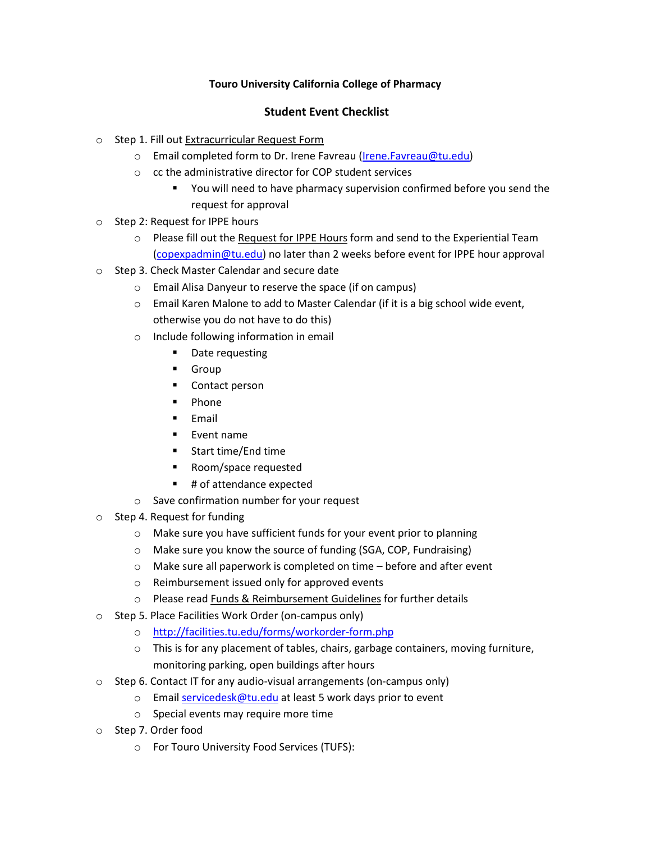## **Touro University California College of Pharmacy**

## **Student Event Checklist**

- o Step 1. Fill out Extracurricular Request Form
	- o Email completed form to Dr. Irene Favreau [\(Irene.Favreau@tu.edu\)](mailto:Irene.Favreau@tu.edu)
	- o cc the administrative director for COP student services
		- You will need to have pharmacy supervision confirmed before you send the request for approval
- o Step 2: Request for IPPE hours
	- $\circ$  Please fill out the Request for IPPE Hours form and send to the Experiential Team [\(copexpadmin@tu.edu\)](mailto:copexpadmin@tu.edu) no later than 2 weeks before event for IPPE hour approval
- o Step 3. Check Master Calendar and secure date
	- o Email Alisa Danyeur to reserve the space (if on campus)
	- o Email Karen Malone to add to Master Calendar (if it is a big school wide event, otherwise you do not have to do this)
	- o Include following information in email
		- **•** Date requesting
		- **Group**
		- Contact person
		- $\blacksquare$  Phone
		- $E$ mail
		- $\blacksquare$  Event name
		- Start time/End time
		- Room/space requested
		- # of attendance expected
	- o Save confirmation number for your request
- o Step 4. Request for funding
	- o Make sure you have sufficient funds for your event prior to planning
	- o Make sure you know the source of funding (SGA, COP, Fundraising)
	- o Make sure all paperwork is completed on time before and after event
	- o Reimbursement issued only for approved events
	- o Please read Funds & Reimbursement Guidelines for further details
- o Step 5. Place Facilities Work Order (on-campus only)
	- o <http://facilities.tu.edu/forms/workorder-form.php>
	- $\circ$  This is for any placement of tables, chairs, garbage containers, moving furniture, monitoring parking, open buildings after hours
- $\circ$  Step 6. Contact IT for any audio-visual arrangements (on-campus only)
	- o Email [servicedesk@tu.edu](mailto:servicedesk@tu.edu) at least 5 work days prior to event
	- o Special events may require more time
- o Step 7. Order food
	- o For Touro University Food Services (TUFS):